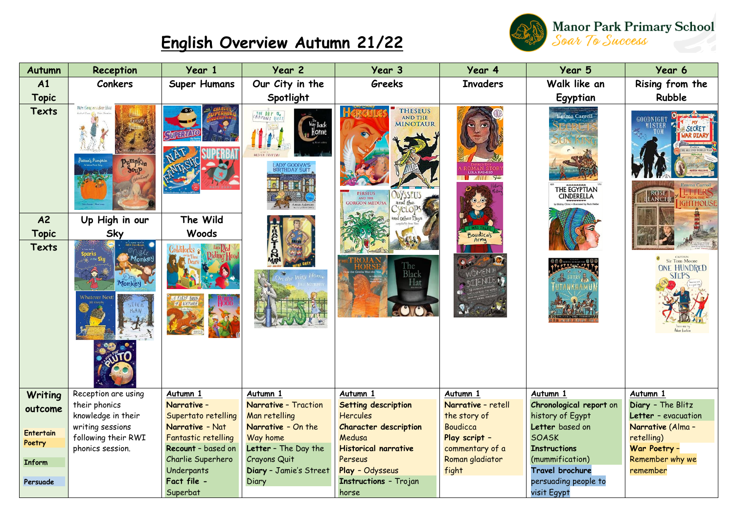## **English Overview Autumn 21/22**



| Autumn           | Reception                                                         | Year 1                                 | Year 2                              | Year 3                                                                                                                               | Year 4                          | Year 5                                            | Year 6                                       |
|------------------|-------------------------------------------------------------------|----------------------------------------|-------------------------------------|--------------------------------------------------------------------------------------------------------------------------------------|---------------------------------|---------------------------------------------------|----------------------------------------------|
| A1               | <b>Conkers</b>                                                    | <b>Super Humans</b>                    | Our City in the                     | Greeks                                                                                                                               | <b>Invaders</b>                 | Walk like an                                      | Rising from the                              |
| <b>Topic</b>     |                                                                   |                                        | Spotlight                           |                                                                                                                                      |                                 | Egyptian                                          | Rubble                                       |
| Texts            | Wie Going on a Bear Hy<br><sup>J</sup> attan'ş Pumpkin<br>Pumpkin |                                        | THE DAY the<br>LADY GODIVA'S        | <b>THESEUS</b><br>AND THE<br><b>MINOTAUR</b><br><b>PERSEUS</b><br><b>AND THE</b><br>and the<br><b>GORGON MEDUSA</b><br><b>CycLOP</b> | $\blacksquare$                  | <b>Emma Carroll</b><br>THE EGYPTIAN<br>CINDERELLA | <b>SECRET</b><br>(AR DIAR)<br>ROSE<br>THOUSE |
| A <sup>2</sup>   | Up High in our                                                    | The Wild                               |                                     | Ither Plays                                                                                                                          |                                 |                                                   |                                              |
| <b>Topic</b>     | Sky                                                               | Woods                                  | Ê                                   |                                                                                                                                      | Boudica's<br>Army               |                                                   |                                              |
| Texts            | 1onke<br>Monkey<br><b>Whatever Nex</b><br>SHOK                    | <b>A FIRST BOOK</b><br>of NATURE       |                                     | The<br>Black<br>Hat                                                                                                                  |                                 |                                                   | Sir Tom Moore<br><b>ONE HUNDRED</b><br>SIEPS |
| Writing          | Reception are using                                               | Autumn 1                               | Autumn 1                            | Autumn 1                                                                                                                             | Autumn 1                        | Autumn 1                                          | Autumn 1                                     |
| outcome          | their phonics                                                     | Narrative -                            | <b>Narrative - Traction</b>         | Setting description                                                                                                                  | Narrative - retell              | Chronological report on                           | Diary - The Blitz                            |
|                  | knowledge in their<br>writing sessions                            | Supertato retelling<br>Narrative - Nat | Man retelling<br>Narrative - On the | <b>Hercules</b><br><b>Character description</b>                                                                                      | the story of<br><b>Boudicca</b> | history of Egypt<br>Letter based on               | Letter - evacuation<br>Narrative (Alma -     |
| <b>Entertain</b> | following their RWI                                               | <b>Fantastic retelling</b>             | Way home                            | Medusa                                                                                                                               | Play script -                   | <b>SOASK</b>                                      | retelling)                                   |
| Poetry           | phonics session.                                                  | Recount - based on                     | Letter - The Day the                | <b>Historical narrative</b>                                                                                                          | commentary of a                 | <b>Instructions</b>                               | War Poetry -                                 |
| Inform           |                                                                   | Charlie Superhero                      | Crayons Quit                        | Perseus                                                                                                                              | Roman gladiator                 | (mummification)                                   | Remember why we                              |
|                  |                                                                   | Underpants                             | Diary - Jamie's Street              | Play - Odysseus                                                                                                                      | fight                           | Travel brochure                                   | remember                                     |
| Persuade         |                                                                   | Fact file -                            | Diary                               | <b>Instructions - Trojan</b>                                                                                                         |                                 | persuading people to                              |                                              |
|                  |                                                                   | Superbat                               |                                     | horse                                                                                                                                |                                 | visit Egypt                                       |                                              |